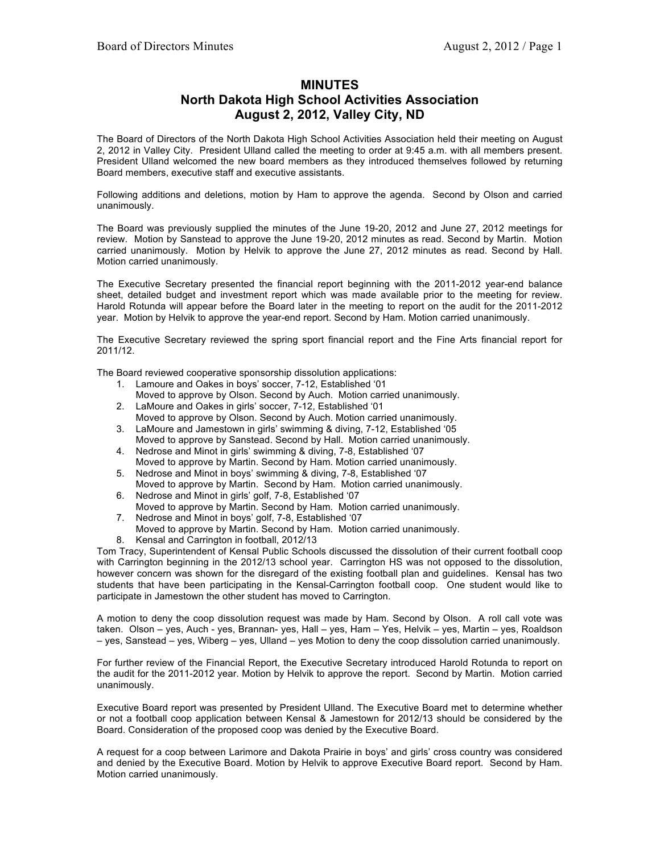## **MINUTES North Dakota High School Activities Association August 2, 2012, Valley City, ND**

The Board of Directors of the North Dakota High School Activities Association held their meeting on August 2, 2012 in Valley City. President Ulland called the meeting to order at 9:45 a.m. with all members present. President Ulland welcomed the new board members as they introduced themselves followed by returning Board members, executive staff and executive assistants.

Following additions and deletions, motion by Ham to approve the agenda. Second by Olson and carried unanimously.

The Board was previously supplied the minutes of the June 19-20, 2012 and June 27, 2012 meetings for review. Motion by Sanstead to approve the June 19-20, 2012 minutes as read. Second by Martin. Motion carried unanimously. Motion by Helvik to approve the June 27, 2012 minutes as read. Second by Hall. Motion carried unanimously.

The Executive Secretary presented the financial report beginning with the 2011-2012 year-end balance sheet, detailed budget and investment report which was made available prior to the meeting for review. Harold Rotunda will appear before the Board later in the meeting to report on the audit for the 2011-2012 year. Motion by Helvik to approve the year-end report. Second by Ham. Motion carried unanimously.

The Executive Secretary reviewed the spring sport financial report and the Fine Arts financial report for 2011/12.

The Board reviewed cooperative sponsorship dissolution applications:

- 1. Lamoure and Oakes in boys' soccer, 7-12, Established '01
- Moved to approve by Olson. Second by Auch. Motion carried unanimously. 2. LaMoure and Oakes in girls' soccer, 7-12, Established '01
- Moved to approve by Olson. Second by Auch. Motion carried unanimously.
- 3. LaMoure and Jamestown in girls' swimming & diving, 7-12, Established '05 Moved to approve by Sanstead. Second by Hall. Motion carried unanimously.
- 4. Nedrose and Minot in girls' swimming & diving, 7-8, Established '07 Moved to approve by Martin. Second by Ham. Motion carried unanimously.
- 5. Nedrose and Minot in boys' swimming & diving, 7-8, Established '07 Moved to approve by Martin. Second by Ham. Motion carried unanimously.
- 6. Nedrose and Minot in girls' golf, 7-8, Established '07 Moved to approve by Martin. Second by Ham. Motion carried unanimously.
- 7. Nedrose and Minot in boys' golf, 7-8, Established '07 Moved to approve by Martin. Second by Ham. Motion carried unanimously.
- 8. Kensal and Carrington in football, 2012/13

Tom Tracy, Superintendent of Kensal Public Schools discussed the dissolution of their current football coop with Carrington beginning in the 2012/13 school year. Carrington HS was not opposed to the dissolution, however concern was shown for the disregard of the existing football plan and guidelines. Kensal has two students that have been participating in the Kensal-Carrington football coop. One student would like to participate in Jamestown the other student has moved to Carrington.

A motion to deny the coop dissolution request was made by Ham. Second by Olson. A roll call vote was taken. Olson – yes, Auch - yes, Brannan- yes, Hall – yes, Ham – Yes, Helvik – yes, Martin – yes, Roaldson – yes, Sanstead – yes, Wiberg – yes, Ulland – yes Motion to deny the coop dissolution carried unanimously.

For further review of the Financial Report, the Executive Secretary introduced Harold Rotunda to report on the audit for the 2011-2012 year. Motion by Helvik to approve the report. Second by Martin. Motion carried unanimously.

Executive Board report was presented by President Ulland. The Executive Board met to determine whether or not a football coop application between Kensal & Jamestown for 2012/13 should be considered by the Board. Consideration of the proposed coop was denied by the Executive Board.

A request for a coop between Larimore and Dakota Prairie in boys' and girls' cross country was considered and denied by the Executive Board. Motion by Helvik to approve Executive Board report. Second by Ham. Motion carried unanimously.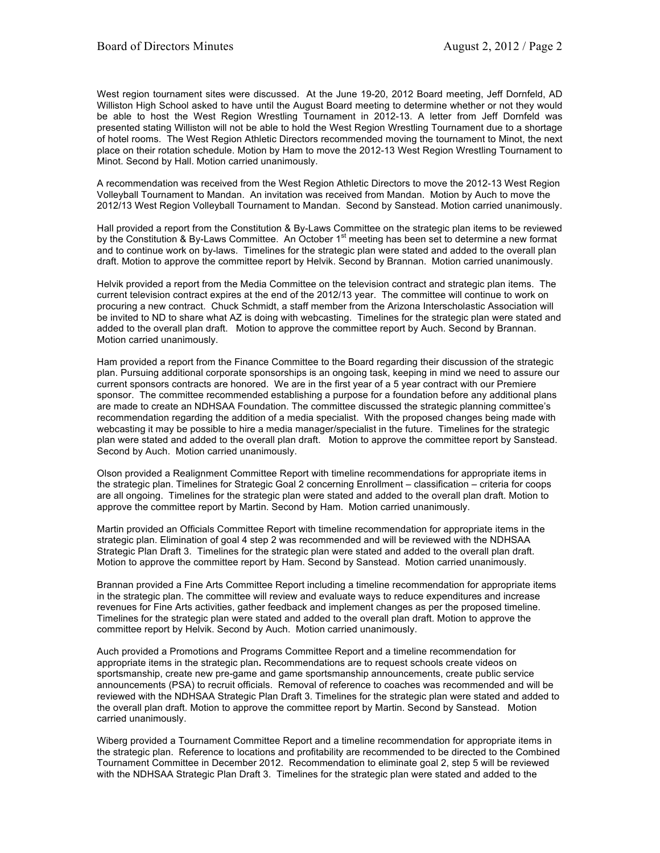West region tournament sites were discussed. At the June 19-20, 2012 Board meeting, Jeff Dornfeld, AD Williston High School asked to have until the August Board meeting to determine whether or not they would be able to host the West Region Wrestling Tournament in 2012-13. A letter from Jeff Dornfeld was presented stating Williston will not be able to hold the West Region Wrestling Tournament due to a shortage of hotel rooms. The West Region Athletic Directors recommended moving the tournament to Minot, the next place on their rotation schedule. Motion by Ham to move the 2012-13 West Region Wrestling Tournament to Minot. Second by Hall. Motion carried unanimously.

A recommendation was received from the West Region Athletic Directors to move the 2012-13 West Region Volleyball Tournament to Mandan. An invitation was received from Mandan. Motion by Auch to move the 2012/13 West Region Volleyball Tournament to Mandan. Second by Sanstead. Motion carried unanimously.

Hall provided a report from the Constitution & By-Laws Committee on the strategic plan items to be reviewed by the Constitution & By-Laws Committee. An October 1<sup>st</sup> meeting has been set to determine a new format and to continue work on by-laws. Timelines for the strategic plan were stated and added to the overall plan draft. Motion to approve the committee report by Helvik. Second by Brannan. Motion carried unanimously.

Helvik provided a report from the Media Committee on the television contract and strategic plan items. The current television contract expires at the end of the 2012/13 year. The committee will continue to work on procuring a new contract. Chuck Schmidt, a staff member from the Arizona Interscholastic Association will be invited to ND to share what AZ is doing with webcasting. Timelines for the strategic plan were stated and added to the overall plan draft. Motion to approve the committee report by Auch. Second by Brannan. Motion carried unanimously.

Ham provided a report from the Finance Committee to the Board regarding their discussion of the strategic plan. Pursuing additional corporate sponsorships is an ongoing task, keeping in mind we need to assure our current sponsors contracts are honored. We are in the first year of a 5 year contract with our Premiere sponsor. The committee recommended establishing a purpose for a foundation before any additional plans are made to create an NDHSAA Foundation. The committee discussed the strategic planning committee's recommendation regarding the addition of a media specialist. With the proposed changes being made with webcasting it may be possible to hire a media manager/specialist in the future. Timelines for the strategic plan were stated and added to the overall plan draft. Motion to approve the committee report by Sanstead. Second by Auch. Motion carried unanimously.

Olson provided a Realignment Committee Report with timeline recommendations for appropriate items in the strategic plan. Timelines for Strategic Goal 2 concerning Enrollment – classification – criteria for coops are all ongoing. Timelines for the strategic plan were stated and added to the overall plan draft. Motion to approve the committee report by Martin. Second by Ham. Motion carried unanimously.

Martin provided an Officials Committee Report with timeline recommendation for appropriate items in the strategic plan. Elimination of goal 4 step 2 was recommended and will be reviewed with the NDHSAA Strategic Plan Draft 3. Timelines for the strategic plan were stated and added to the overall plan draft. Motion to approve the committee report by Ham. Second by Sanstead. Motion carried unanimously.

Brannan provided a Fine Arts Committee Report including a timeline recommendation for appropriate items in the strategic plan. The committee will review and evaluate ways to reduce expenditures and increase revenues for Fine Arts activities, gather feedback and implement changes as per the proposed timeline. Timelines for the strategic plan were stated and added to the overall plan draft. Motion to approve the committee report by Helvik. Second by Auch. Motion carried unanimously.

Auch provided a Promotions and Programs Committee Report and a timeline recommendation for appropriate items in the strategic plan**.** Recommendations are to request schools create videos on sportsmanship, create new pre-game and game sportsmanship announcements, create public service announcements (PSA) to recruit officials. Removal of reference to coaches was recommended and will be reviewed with the NDHSAA Strategic Plan Draft 3. Timelines for the strategic plan were stated and added to the overall plan draft. Motion to approve the committee report by Martin. Second by Sanstead. Motion carried unanimously.

Wiberg provided a Tournament Committee Report and a timeline recommendation for appropriate items in the strategic plan. Reference to locations and profitability are recommended to be directed to the Combined Tournament Committee in December 2012. Recommendation to eliminate goal 2, step 5 will be reviewed with the NDHSAA Strategic Plan Draft 3. Timelines for the strategic plan were stated and added to the